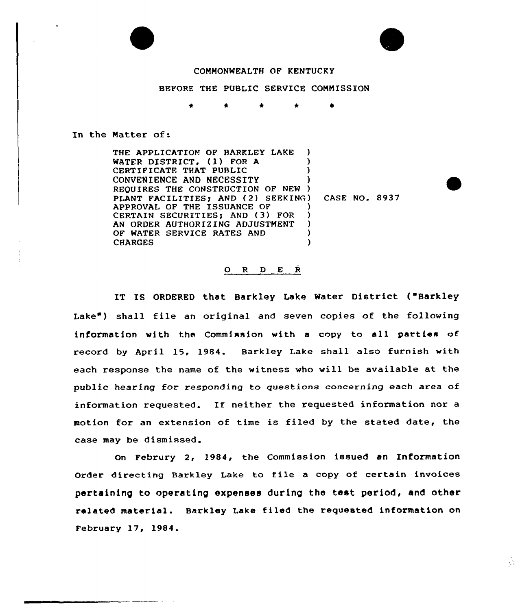



 $\mathcal{L}_{\mathcal{A}}$ 

## COMMONWEALTH OF KENTUCKY

## BEFORE THE PUBLIC SERVICE COMMISSION

In the Matter of:

THE APPLICATION OF BARKLEY LAKE ) WATER DISTRICT, (1) FOR A CERTIFICATE THAT PUBLIC ) CONVENIENCE AND NECESSITY REQUIRES THE CONSTRUCTION OF NEW ) PLANT FACILITIES; AND (2) SEEKING) CASE NO. 8937 APPROVAL OF THE ISSUANCE OF CERTAIN SECURITIES; AND (3) FOR )<br>AN ORDER AUTHORIZING ADJUSTMENT ) AN ORDER AUTHORIZING ADJUSTMENT OF WATER SERVICE RATES AND (HARGES) **CHARGES** 

## 0 <sup>R</sup> <sup>D</sup> E <sup>R</sup>

IT IS ORDERED that Barkley Lake Water District { Barkley Lake") shall file an original and seven copies of the following information with the Commission with a copy to all parties of record by April 15, 1984. Barkley Lake shall also furnish with each response the name of the witness who will be available at the public hearing for responding to questions concerning each area of information requested. If neither the requested information nor <sup>a</sup> motion for an extension of time is filed by the stated date, the case may be dismissed.

On Februry 2, 1984, the Commission issued an Information Order directing Barkley Lake to file <sup>a</sup> copy of certain invoices pertaining to operating expenses during the test period, and other related material. Barkley Lake f i led the requested information on February 17, 1984.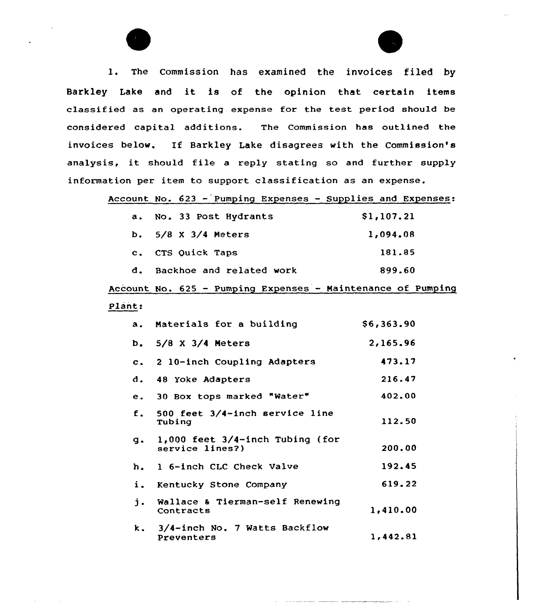1. The Commission has examined the invoices filed by Barkley Lake and it is of the opinion that certain items classified as an operating expense for the test period should be considered capital additions. The Commission has outlined the invoices below. If Barkley Lake disagrees with the Commission's analysis, it should file <sup>a</sup> reply stating so and further supply information per item to support classification as an expense.

Account No. 623 — Pumping Expenses — Supplies and Expenses:

|    | a. No. 33 Post Hydrants  | \$1,107.21 |
|----|--------------------------|------------|
|    | b. 5/8 X 3/4 Meters      | 1,094.08   |
|    | c. CTS Quick Taps        | 181.85     |
| d. | Backhoe and related work | 899.60     |

Account Ho. 625 — Pumping Expenses — Maintenance of Pumping

## Plant:

|    | a. Materials for a building                                | \$6,363.90 |
|----|------------------------------------------------------------|------------|
|    | b. $5/8 \times 3/4$ Meters                                 | 2,165.96   |
|    | c. 2 10-inch Coupling Adapters                             | 473.17     |
|    | d. 48 Yoke Adapters                                        | 216.47     |
|    | e. 30 Box tops marked "Water"                              | 402.00     |
|    | f. 500 feet 3/4-inch service line<br>Tubing                | 112.50     |
|    | $g.$ 1,000 feet $3/4$ -inch Tubing (for<br>service lines?) | 200.00     |
|    | h. 1 6-inch CLC Check Valve                                | 192.45     |
|    | i. Kentucky Stone Company                                  | 619.22     |
| j. | Wallace & Tierman-self Renewing<br>Contracts               | 1,410,00   |
|    | k. 3/4-inch No. 7 Watts Backflow<br>Preventers             | 1,442.81   |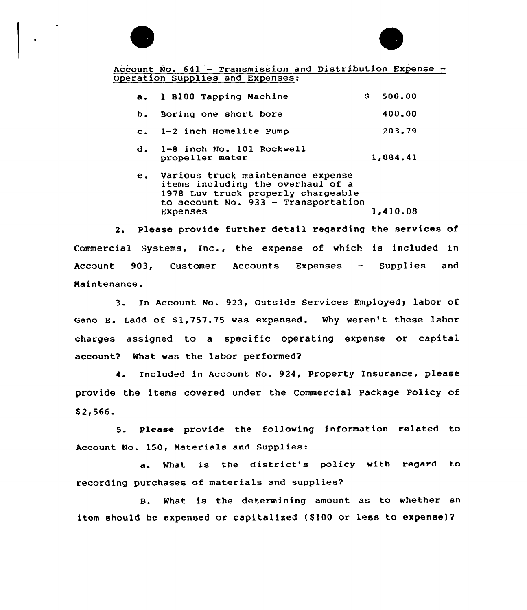



and the company of the second con-

Account No.  $641$  - Transmission and Distribution Expense -Operation Supplies and Expenses:

|    | a. 1 B100 Tapping Machine                    | S. | 500.00   |
|----|----------------------------------------------|----|----------|
| b. | Boring one short bore                        |    | 400.00   |
|    | c. 1-2 inch Homelite Pump                    |    | 203.79   |
| d. | 1-8 inch No. 101 Rockwell<br>propeller meter |    | 1,084.41 |

e. various truck maintenance expense items including the overhaul of a 1978 Luv truck properly chargeable to account No. 933 — Transportation 1,410.08

2. Please provide further detail regarding the services of Commercial Systems, Inc., the expense af which is included in Account 903, Customer Accounts Expenses — Supplies and Haintenance.

3. In Account No. 923, Outside Services Employed; labor of Gano E. Ladd of \$1,757.75 was expensed. Why weren't these labor charges assigned to a specific operating expense or capital account? What was the labor performed?

4. Included in Account No. 924, Property Insurance, please provide the items covered under the Commercial Package Policy of S2,566.

5. Please provide the following information related to Account No. 150, Materials and Supplies:

a. What is the district's policy with regard to recording purchases of materials and supplies?

B. What is the determining amount as to whether an item should be expensed or capitalized (\$100 or less to expense)?